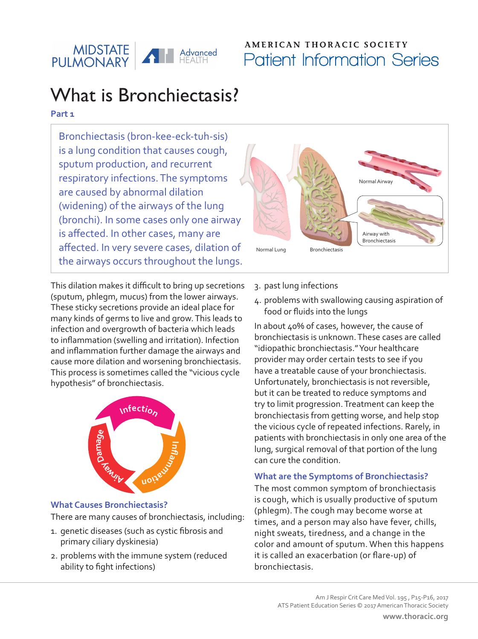

# **AMERICAN THORACIC SOCIETY** Patient Information Series

# What is Bronchiectasis?

## **Part 1**

Bronchiectasis (bron-kee-eck-tuh-sis) is a lung condition that causes cough, sputum production, and recurrent respiratory infections. The symptoms are caused by abnormal dilation (widening) of the airways of the lung (bronchi). In some cases only one airway is affected. In other cases, many are affected. In very severe cases, dilation of the airways occurs throughout the lungs.

This dilation makes it difficult to bring up secretions (sputum, phlegm, mucus) from the lower airways. These sticky secretions provide an ideal place for many kinds of germs to live and grow. This leads to infection and overgrowth of bacteria which leads to inflammation (swelling and irritation). Infection and inflammation further damage the airways and cause more dilation and worsening bronchiectasis. This process is sometimes called the "vicious cycle hypothesis" of bronchiectasis.



## **What Causes Bronchiectasis?**

There are many causes of bronchiectasis, including:

- 1. genetic diseases (such as cystic fibrosis and primary ciliary dyskinesia)
- 2. problems with the immune system (reduced ability to fight infections)



- 3. past lung infections
- 4. problems with swallowing causing aspiration of food or fluids into the lungs

In about 40% of cases, however, the cause of bronchiectasis is unknown. These cases are called "idiopathic bronchiectasis." Your healthcare provider may order certain tests to see if you have a treatable cause of your bronchiectasis. Unfortunately, bronchiectasis is not reversible, but it can be treated to reduce symptoms and try to limit progression. Treatment can keep the bronchiectasis from getting worse, and help stop the vicious cycle of repeated infections. Rarely, in patients with bronchiectasis in only one area of the lung, surgical removal of that portion of the lung can cure the condition.

## **What are the Symptoms of Bronchiectasis?**

The most common symptom of bronchiectasis is cough, which is usually productive of sputum (phlegm). The cough may become worse at times, and a person may also have fever, chills, night sweats, tiredness, and a change in the color and amount of sputum. When this happens it is called an exacerbation (or flare-up) of bronchiectasis.